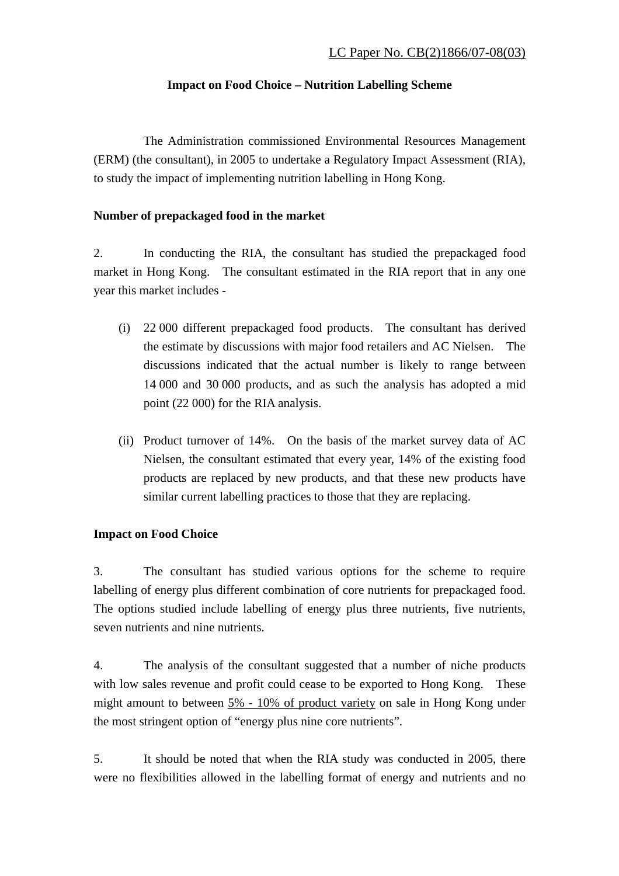## **Impact on Food Choice – Nutrition Labelling Scheme**

 The Administration commissioned Environmental Resources Management (ERM) (the consultant), in 2005 to undertake a Regulatory Impact Assessment (RIA), to study the impact of implementing nutrition labelling in Hong Kong.

## **Number of prepackaged food in the market**

2. In conducting the RIA, the consultant has studied the prepackaged food market in Hong Kong. The consultant estimated in the RIA report that in any one year this market includes -

- (i) 22 000 different prepackaged food products. The consultant has derived the estimate by discussions with major food retailers and AC Nielsen. The discussions indicated that the actual number is likely to range between 14 000 and 30 000 products, and as such the analysis has adopted a mid point (22 000) for the RIA analysis.
- (ii) Product turnover of 14%. On the basis of the market survey data of AC Nielsen, the consultant estimated that every year, 14% of the existing food products are replaced by new products, and that these new products have similar current labelling practices to those that they are replacing.

## **Impact on Food Choice**

3. The consultant has studied various options for the scheme to require labelling of energy plus different combination of core nutrients for prepackaged food. The options studied include labelling of energy plus three nutrients, five nutrients, seven nutrients and nine nutrients.

4. The analysis of the consultant suggested that a number of niche products with low sales revenue and profit could cease to be exported to Hong Kong. These might amount to between 5% - 10% of product variety on sale in Hong Kong under the most stringent option of "energy plus nine core nutrients".

5. It should be noted that when the RIA study was conducted in 2005, there were no flexibilities allowed in the labelling format of energy and nutrients and no